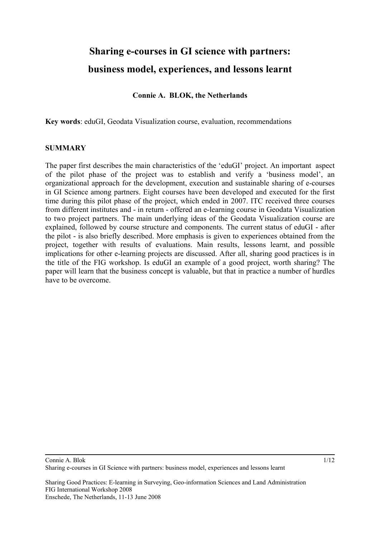# **Sharing e-courses in GI science with partners: business model, experiences, and lessons learnt**

#### **Connie A. BLOK, the Netherlands**

**Key words**: eduGI, Geodata Visualization course, evaluation, recommendations

#### **SUMMARY**

The paper first describes the main characteristics of the 'eduGI' project. An important aspect of the pilot phase of the project was to establish and verify a 'business model', an organizational approach for the development, execution and sustainable sharing of e-courses in GI Science among partners. Eight courses have been developed and executed for the first time during this pilot phase of the project, which ended in 2007. ITC received three courses from different institutes and - in return - offered an e-learning course in Geodata Visualization to two project partners. The main underlying ideas of the Geodata Visualization course are explained, followed by course structure and components. The current status of eduGI - after the pilot - is also briefly described. More emphasis is given to experiences obtained from the project, together with results of evaluations. Main results, lessons learnt, and possible implications for other e-learning projects are discussed. After all, sharing good practices is in the title of the FIG workshop. Is eduGI an example of a good project, worth sharing? The paper will learn that the business concept is valuable, but that in practice a number of hurdles have to be overcome.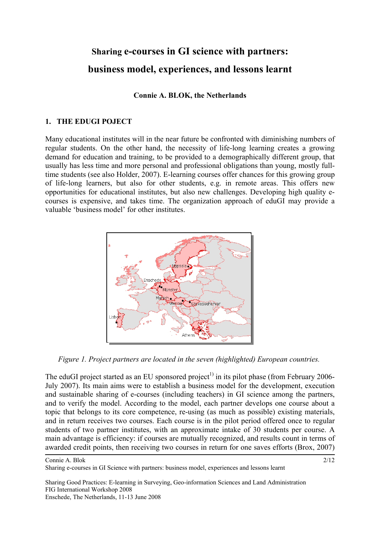# **Sharing e-courses in GI science with partners: business model, experiences, and lessons learnt**

#### **Connie A. BLOK, the Netherlands**

### **1. THE EDUGI POJECT**

Many educational institutes will in the near future be confronted with diminishing numbers of regular students. On the other hand, the necessity of life-long learning creates a growing demand for education and training, to be provided to a demographically different group, that usually has less time and more personal and professional obligations than young, mostly fulltime students (see also Holder, 2007). E-learning courses offer chances for this growing group of life-long learners, but also for other students, e.g. in remote areas. This offers new opportunities for educational institutes, but also new challenges. Developing high quality ecourses is expensive, and takes time. The organization approach of eduGI may provide a valuable 'business model' for other institutes.



*Figure 1. Project partners are located in the seven (highlighted) European countries.* 

The eduGI project started as an EU sponsored project<sup>1)</sup> in its pilot phase (from February 2006-July 2007). Its main aims were to establish a business model for the development, execution and sustainable sharing of e-courses (including teachers) in GI science among the partners, and to verify the model. According to the model, each partner develops one course about a topic that belongs to its core competence, re-using (as much as possible) existing materials, and in return receives two courses. Each course is in the pilot period offered once to regular students of two partner institutes, with an approximate intake of 30 students per course. A main advantage is efficiency: if courses are mutually recognized, and results count in terms of awarded credit points, then receiving two courses in return for one saves efforts (Brox, 2007)

Connie A. Blok

Sharing e-courses in GI Science with partners: business model, experiences and lessons learnt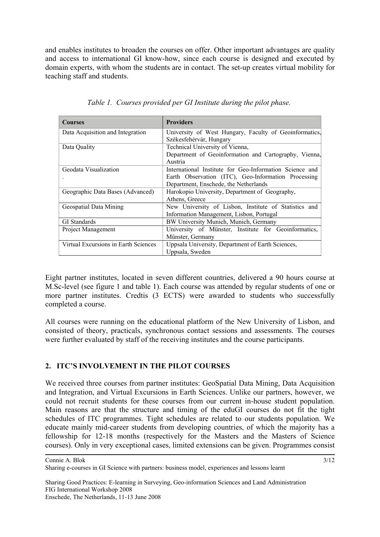and enables institutes to broaden the courses on offer. Other important advantages are quality and access to international GI know-how, since each course is designed and executed by domain experts, with whom the students are in contact. The set-up creates virtual mobility for teaching staff and students.

| <b>Courses</b>                       | <b>Providers</b>                                        |  |  |
|--------------------------------------|---------------------------------------------------------|--|--|
| Data Acquisition and Integration     | University of West Hungary, Faculty of Geoinformatics,  |  |  |
|                                      | Székesfehérvár, Hungary                                 |  |  |
| Data Quality                         | Technical University of Vienna,                         |  |  |
|                                      | Department of Geoinformation and Cartography, Vienna,   |  |  |
|                                      | Austria                                                 |  |  |
| Geodata Visualization                | International Institute for Geo-Information Science and |  |  |
|                                      | Earth Observation (ITC), Geo-Information Processing     |  |  |
|                                      | Department, Enschede, the Netherlands                   |  |  |
| Geographic Data Bases (Advanced)     | Harokopio University, Department of Geography,          |  |  |
|                                      | Athens, Greece                                          |  |  |
| Geospatial Data Mining               | New University of Lisbon, Institute of Statistics and   |  |  |
|                                      | Information Management, Lisbon, Portugal                |  |  |
| <b>GI</b> Standards                  | BW University Munich, Munich, Germany                   |  |  |
| Project Management                   | University of Münster, Institute for Geoinformatics,    |  |  |
|                                      | Münster, Germany                                        |  |  |
| Virtual Excursions in Earth Sciences | Uppsala University, Department of Earth Sciences,       |  |  |
|                                      | Uppsala, Sweden                                         |  |  |

*Table 1. Courses provided per GI Institute during the pilot phase.* 

Eight partner institutes, located in seven different countries, delivered a 90 hours course at M.Sc-level (see figure 1 and table 1). Each course was attended by regular students of one or more partner institutes. Credtis (3 ECTS) were awarded to students who successfully completed a course.

All courses were running on the educational platform of the New University of Lisbon, and consisted of theory, practicals, synchronous contact sessions and assessments. The courses were further evaluated by staff of the receiving institutes and the course participants.

# **2. ITC'S INVOLVEMENT IN THE PILOT COURSES**

We received three courses from partner institutes: GeoSpatial Data Mining, Data Acquisition and Integration, and Virtual Excursions in Earth Sciences. Unlike our partners, however, we could not recruit students for these courses from our current in-house student population. Main reasons are that the structure and timing of the eduGI courses do not fit the tight schedules of ITC programmes. Tight schedules are related to our students population. We educate mainly mid-career students from developing countries, of which the majority has a fellowship for 12-18 months (respectively for the Masters and the Masters of Science courses). Only in very exceptional cases, limited extensions can be given. Programmes consist

Sharing e-courses in GI Science with partners: business model, experiences and lessons learnt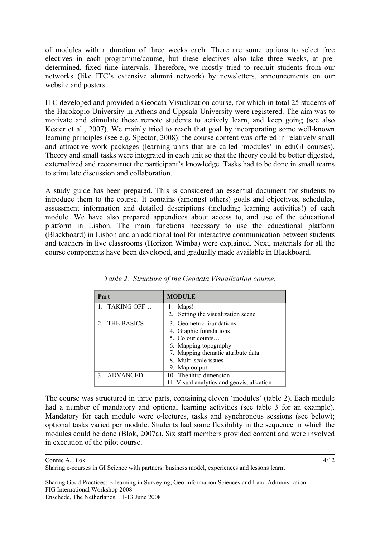of modules with a duration of three weeks each. There are some options to select free electives in each programme/course, but these electives also take three weeks, at predetermined, fixed time intervals. Therefore, we mostly tried to recruit students from our networks (like ITC's extensive alumni network) by newsletters, announcements on our website and posters.

ITC developed and provided a Geodata Visualization course, for which in total 25 students of the Harokopio University in Athens and Uppsala University were registered. The aim was to motivate and stimulate these remote students to actively learn, and keep going (see also Kester et al., 2007). We mainly tried to reach that goal by incorporating some well-known learning principles (see e.g. Spector, 2008): the course content was offered in relatively small and attractive work packages (learning units that are called 'modules' in eduGI courses). Theory and small tasks were integrated in each unit so that the theory could be better digested, externalized and reconstruct the participant's knowledge. Tasks had to be done in small teams to stimulate discussion and collaboration.

A study guide has been prepared. This is considered an essential document for students to introduce them to the course. It contains (amongst others) goals and objectives, schedules, assessment information and detailed descriptions (including learning activities!) of each module. We have also prepared appendices about access to, and use of the educational platform in Lisbon. The main functions necessary to use the educational platform (Blackboard) in Lisbon and an additional tool for interactive communication between students and teachers in live classrooms (Horizon Wimba) were explained. Next, materials for all the course components have been developed, and gradually made available in Blackboard.

| Part          | <b>MODULE</b>                             |
|---------------|-------------------------------------------|
| 1. TAKING OFF | 1. Maps!                                  |
|               | 2. Setting the visualization scene        |
| 2. THE BASICS | 3. Geometric foundations                  |
|               | 4. Graphic foundations                    |
|               | 5. Colour counts                          |
|               | 6. Mapping topography                     |
|               | 7. Mapping thematic attribute data        |
|               | 8. Multi-scale issues                     |
|               | 9. Map output                             |
| 3. ADVANCED   | 10. The third dimension                   |
|               | 11. Visual analytics and geovisualization |

*Table 2. Structure of the Geodata Visualization course.* 

The course was structured in three parts, containing eleven 'modules' (table 2). Each module had a number of mandatory and optional learning activities (see table 3 for an example). Mandatory for each module were e-lectures, tasks and synchronous sessions (see below); optional tasks varied per module. Students had some flexibility in the sequence in which the modules could be done (Blok, 2007a). Six staff members provided content and were involved in execution of the pilot course.

Connie A. Blok

Sharing e-courses in GI Science with partners: business model, experiences and lessons learnt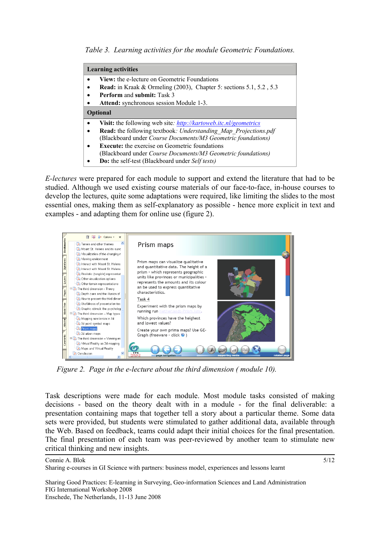*Table 3. Learning activities for the module Geometric Foundations.* 

| <b>Learning activities</b>                                                    |  |  |
|-------------------------------------------------------------------------------|--|--|
| <b>View:</b> the e-lecture on Geometric Foundations                           |  |  |
| <b>Read:</b> in Kraak & Ormeling $(2003)$ , Chapter 5: sections 5.1, 5.2, 5.3 |  |  |
| <b>Perform and submit: Task 3</b>                                             |  |  |
| Attend: synchronous session Module 1-3.                                       |  |  |
| <b>Optional</b>                                                               |  |  |
| Visit: the following web site: http://kartoweb.itc.nl/geometrics              |  |  |
| <b>Read:</b> the following textbook: <i>Understanding Map Projections.pdf</i> |  |  |
| (Blackboard under Course Documents/M3 Geometric foundations)                  |  |  |
| <b>Execute:</b> the exercise on Geometric foundations                         |  |  |
| (Blackboard under <i>Course Documents/M3 Geometric foundations</i> )          |  |  |
| <b>Do:</b> the self-test (Blackboard under Self tests)                        |  |  |

*E-lectures* were prepared for each module to support and extend the literature that had to be studied. Although we used existing course materials of our face-to-face, in-house courses to develop the lectures, quite some adaptations were required, like limiting the slides to the most essential ones, making them as self-explanatory as possible - hence more explicit in text and examples - and adapting them for online use (figure 2).



*Figure 2. Page in the e-lecture about the third dimension ( module 10).* 

Task descriptions were made for each module. Most module tasks consisted of making decisions - based on the theory dealt with in a module - for the final deliverable: a presentation containing maps that together tell a story about a particular theme. Some data sets were provided, but students were stimulated to gather additional data, available through the Web. Based on feedback, teams could adapt their initial choices for the final presentation. The final presentation of each team was peer-reviewed by another team to stimulate new critical thinking and new insights.

Sharing e-courses in GI Science with partners: business model, experiences and lessons learnt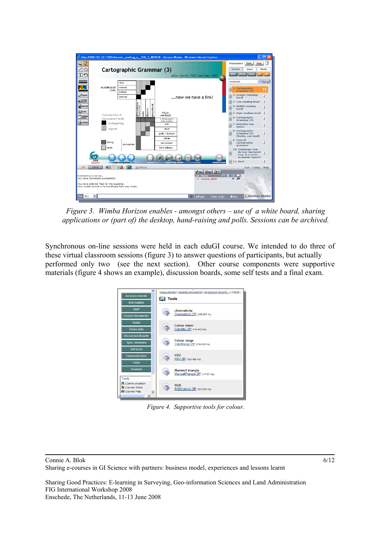

*Figure 3. Wimba Horizon enables - amongst others – use of a white board, sharing applications or (part of) the desktop, hand-raising and polls. Sessions can be archived.* 

Synchronous on-line sessions were held in each eduGI course. We intended to do three of these virtual classroom sessions (figure 3) to answer questions of participants, but actually performed only two (see the next section). Other course components were supportive materials (figure 4 shows an example), discussion boards, some self tests and a final exam.



*Figure 4. Supportive tools for colour.*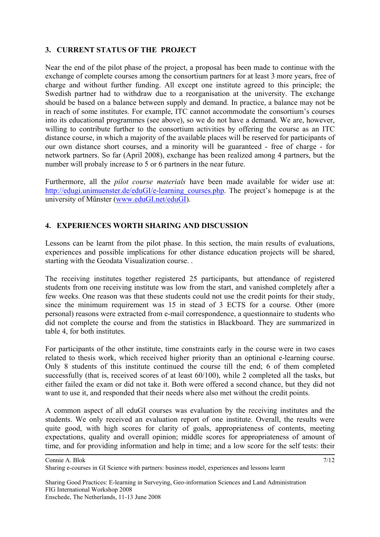### **3. CURRENT STATUS OF THE PROJECT**

Near the end of the pilot phase of the project, a proposal has been made to continue with the exchange of complete courses among the consortium partners for at least 3 more years, free of charge and without further funding. All except one institute agreed to this principle; the Swedish partner had to withdraw due to a reorganisation at the university. The exchange should be based on a balance between supply and demand. In practice, a balance may not be in reach of some institutes. For example, ITC cannot accommodate the consortium's courses into its educational programmes (see above), so we do not have a demand. We are, however, willing to contribute further to the consortium activities by offering the course as an ITC distance course, in which a majority of the available places will be reserved for participants of our own distance short courses, and a minority will be guaranteed - free of charge - for network partners. So far (April 2008), exchange has been realized among 4 partners, but the number will probaly increase to 5 or 6 partners in the near future.

Furthermore, all the *pilot course materials* have been made available for wider use at: [http://edugi.unimuenster.de/eduGI/e-learning\\_courses.php](http://edugi.unimuenster.de/eduGI/e-learning_courses.php). The project's homepage is at the university of Münster ([www.eduGI.net/eduGI\)](http://www.edugi.net/eduGI).

### **4. EXPERIENCES WORTH SHARING AND DISCUSSION**

Lessons can be learnt from the pilot phase. In this section, the main results of evaluations, experiences and possible implications for other distance education projects will be shared, starting with the Geodata Visualization course. .

The receiving institutes together registered 25 participants, but attendance of registered students from one receiving institute was low from the start, and vanished completely after a few weeks. One reason was that these students could not use the credit points for their study, since the minimum requirement was 15 in stead of 3 ECTS for a course. Other (more personal) reasons were extracted from e-mail correspondence, a questionnaire to students who did not complete the course and from the statistics in Blackboard. They are summarized in table 4, for both institutes.

For participants of the other institute, time constraints early in the course were in two cases related to thesis work, which received higher priority than an optinional e-learning course. Only 8 students of this institute continued the course till the end; 6 of them completed successfully (that is, received scores of at least 60/100), while 2 completed all the tasks, but either failed the exam or did not take it. Both were offered a second chance, but they did not want to use it, and responded that their needs where also met without the credit points.

A common aspect of all eduGI courses was evaluation by the receiving institutes and the students. We only received an evaluation report of one institute. Overall, the results were quite good, with high scores for clarity of goals, appropriateness of contents, meeting expectations, quality and overall opinion; middle scores for appropriateness of amount of time, and for providing information and help in time; and a low score for the self tests: their

Connie A. Blok Sharing e-courses in GI Science with partners: business model, experiences and lessons learnt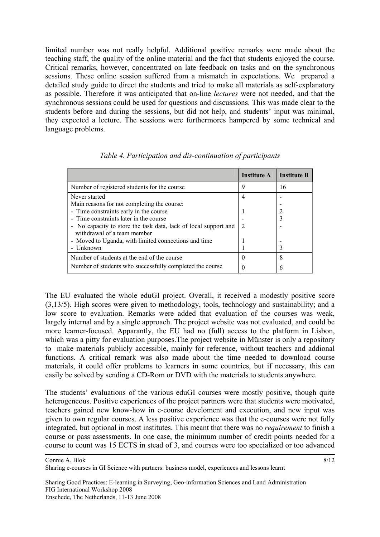limited number was not really helpful. Additional positive remarks were made about the teaching staff, the quality of the online material and the fact that students enjoyed the course. Critical remarks, however, concentrated on late feedback on tasks and on the synchronous sessions. These online session suffered from a mismatch in expectations. We prepared a detailed study guide to direct the students and tried to make all materials as self-explanatory as possible. Therefore it was anticipated that on-line *lectures* were not needed, and that the synchronous sessions could be used for questions and discussions. This was made clear to the students before and during the sessions, but did not help, and students' input was minimal, they expected a lecture. The sessions were furthermores hampered by some technical and language problems.

|                                                                                                | <b>Institute A</b> | <b>Institute B</b> |
|------------------------------------------------------------------------------------------------|--------------------|--------------------|
| Number of registered students for the course                                                   | 9                  | 16                 |
| Never started                                                                                  | 4                  |                    |
| Main reasons for not completing the course:                                                    |                    |                    |
| - Time constraints early in the course                                                         |                    |                    |
| - Time constraints later in the course                                                         |                    |                    |
| - No capacity to store the task data, lack of local support and<br>withdrawal of a team member |                    |                    |
| - Moved to Uganda, with limited connections and time                                           |                    |                    |
| - Unknown                                                                                      |                    |                    |
| Number of students at the end of the course                                                    | $\theta$           | 8                  |
| Number of students who successfully completed the course                                       |                    |                    |

*Table 4. Participation and dis-continuation of participants* 

The EU evaluated the whole eduGI project. Overall, it received a modestly positive score (3,13/5). High scores were given to methodology, tools, technology and sustainability; and a low score to evaluation. Remarks were added that evaluation of the courses was weak, largely internal and by a single approach. The project website was not evaluated, and could be more learner-focused. Apparantly, the EU had no (full) access to the platform in Lisbon, which was a pitty for evaluation purposes. The project website in Münster is only a repository to make materials publicly accessible, mainly for reference, without teachers and addional functions. A critical remark was also made about the time needed to download course materials, it could offer problems to learners in some countries, but if necessary, this can easily be solved by sending a CD-Rom or DVD with the materials to students anywhere.

The students' evaluations of the various eduGI courses were mostly positive, though quite heterogeneous. Positive experiences of the project partners were that students were motivated, teachers gained new know-how in e-course develoment and execution, and new input was given to own regular courses. A less positive experience was that the e-courses were not fully integrated, but optional in most institutes. This meant that there was no *requirement* to finish a course or pass assessments. In one case, the minimum number of credit points needed for a course to count was 15 ECTS in stead of 3, and courses were too specialized or too advanced

Connie A. Blok

Sharing e-courses in GI Science with partners: business model, experiences and lessons learnt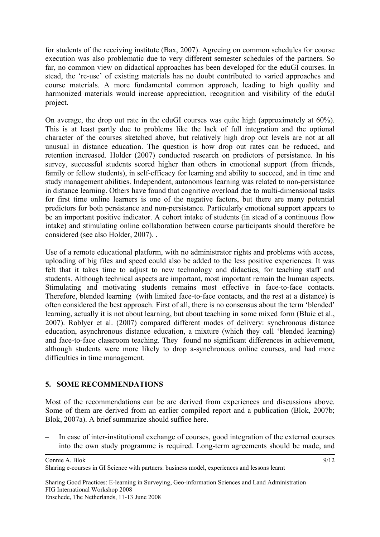for students of the receiving institute (Bax, 2007). Agreeing on common schedules for course execution was also problematic due to very different semester schedules of the partners. So far, no common view on didactical approaches has been developed for the eduGI courses. In stead, the 're-use' of existing materials has no doubt contributed to varied approaches and course materials. A more fundamental common approach, leading to high quality and harmonized materials would increase appreciation, recognition and visibility of the eduGI project.

On average, the drop out rate in the eduGI courses was quite high (approximately at 60%). This is at least partly due to problems like the lack of full integration and the optional character of the courses sketched above, but relatively high drop out levels are not at all unusual in distance education. The question is how drop out rates can be reduced, and retention increased. Holder (2007) conducted research on predictors of persistance. In his survey, successful students scored higher than others in emotional support (from friends, family or fellow students), in self-efficacy for learning and ability to succeed, and in time and study management abilities. Independent, autonomous learning was related to non-persistance in distance learning. Others have found that cognitive overload due to multi-dimensional tasks for first time online learners is one of the negative factors, but there are many potential predictors for both persistance and non-persistance. Particularly emotional support appears to be an important positive indicator. A cohort intake of students (in stead of a continuous flow intake) and stimulating online collaboration between course participants should therefore be considered (see also Holder, 2007). .

Use of a remote educational platform, with no administrator rights and problems with access, uploading of big files and speed could also be added to the less positive experiences. It was felt that it takes time to adjust to new technology and didactics, for teaching staff and students. Although technical aspects are important, most important remain the human aspects. Stimulating and motivating students remains most effective in face-to-face contacts. Therefore, blended learning (with limited face-to-face contacts, and the rest at a distance) is often considered the best approach. First of all, there is no consensus about the term 'blended' learning, actually it is not about learning, but about teaching in some mixed form (Bluic et al., 2007). Roblyer et al. (2007) compared different modes of delivery: synchronous distance education, asynchronous distance education, a mixture (which they call 'blended learning) and face-to-face classroom teaching. They found no significant differences in achievement, although students were more likely to drop a-synchronous online courses, and had more difficulties in time management.

# **5. SOME RECOMMENDATIONS**

Most of the recommendations can be are derived from experiences and discussions above. Some of them are derived from an earlier compiled report and a publication (Blok, 2007b; Blok, 2007a). A brief summarize should suffice here.

**–** In case of inter-institutional exchange of courses, good integration of the external courses into the own study programme is required. Long-term agreements should be made, and

Sharing e-courses in GI Science with partners: business model, experiences and lessons learnt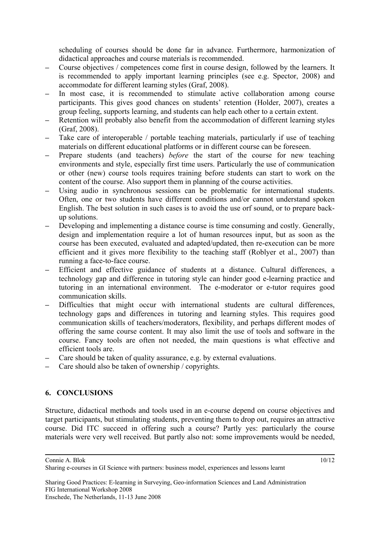scheduling of courses should be done far in advance. Furthermore, harmonization of didactical approaches and course materials is recommended.

- **–** Course objectives / competences come first in course design, followed by the learners. It is recommended to apply important learning principles (see e.g. Spector, 2008) and accommodate for different learning styles (Graf, 2008).
- **–** In most case, it is recommended to stimulate active collaboration among course participants. This gives good chances on students' retention (Holder, 2007), creates a group feeling, supports learning, and students can help each other to a certain extent.
- **–** Retention will probably also benefit from the accommodation of different learning styles (Graf, 2008).
- **–** Take care of interoperable / portable teaching materials, particularly if use of teaching materials on different educational platforms or in different course can be foreseen.
- **–** Prepare students (and teachers) *before* the start of the course for new teaching environments and style, especially first time users. Particularly the use of communication or other (new) course tools requires training before students can start to work on the content of the course. Also support them in planning of the course activities.
- Using audio in synchronous sessions can be problematic for international students. Often, one or two students have different conditions and/or cannot understand spoken English. The best solution in such cases is to avoid the use orf sound, or to prepare backup solutions.
- **–** Developing and implementing a distance course is time consuming and costly. Generally, design and implementation require a lot of human resources input, but as soon as the course has been executed, evaluated and adapted/updated, then re-execution can be more efficient and it gives more flexibility to the teaching staff (Roblyer et al., 2007) than running a face-to-face course.
- **–** Efficient and effective guidance of students at a distance. Cultural differences, a technology gap and difference in tutoring style can hinder good e-learning practice and tutoring in an international environment. The e-moderator or e-tutor requires good communication skills.
- **–** Difficulties that might occur with international students are cultural differences, technology gaps and differences in tutoring and learning styles. This requires good communication skills of teachers/moderators, flexibility, and perhaps different modes of offering the same course content. It may also limit the use of tools and software in the course. Fancy tools are often not needed, the main questions is what effective and efficient tools are.
- **–** Care should be taken of quality assurance, e.g. by external evaluations.
- **–** Care should also be taken of ownership / copyrights.

# **6. CONCLUSIONS**

Structure, didactical methods and tools used in an e-course depend on course objectives and target participants, but stimulating students, preventing them to drop out, requires an attractive course. Did ITC succeed in offering such a course? Partly yes: particularly the course materials were very well received. But partly also not: some improvements would be needed,

Connie A. Blok

Sharing e-courses in GI Science with partners: business model, experiences and lessons learnt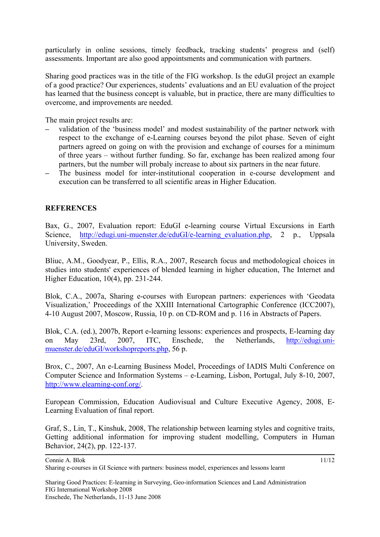particularly in online sessions, timely feedback, tracking students' progress and (self) assessments. Important are also good appointsments and communication with partners.

Sharing good practices was in the title of the FIG workshop. Is the eduGI project an example of a good practice? Our experiences, students' evaluations and an EU evaluation of the project has learned that the business concept is valuable, but in practice, there are many difficulties to overcome, and improvements are needed.

The main project results are:

- **–** validation of the 'business model' and modest sustainability of the partner network with respect to the exchange of e-Learning courses beyond the pilot phase. Seven of eight partners agreed on going on with the provision and exchange of courses for a minimum of three years – without further funding. So far, exchange has been realized among four partners, but the number will probaly increase to about six partners in the near future.
- **–** The business model for inter-institutional cooperation in e-course development and execution can be transferred to all scientific areas in Higher Education.

### **REFERENCES**

Bax, G., 2007, Evaluation report: EduGI e-learning course Virtual Excursions in Earth Science, http://edugi.uni-muenster.de/eduGI/e-learning evaluation.php, 2 p., Uppsala University, Sweden.

Bliuc, A.M., Goodyear, P., Ellis, R.A., 2007, Research focus and methodological choices in studies into students' experiences of blended learning in higher education, The Internet and Higher Education, 10(4), pp. 231-244.

Blok, C.A., 2007a, Sharing e-courses with European partners: experiences with 'Geodata Visualization,' Proceedings of the XXIII International Cartographic Conference (ICC2007), 4-10 August 2007, Moscow, Russia, 10 p. on CD-ROM and p. 116 in Abstracts of Papers.

Blok, C.A. (ed.), 2007b, Report e-learning lessons: experiences and prospects, E-learning day on May 23rd, 2007, ITC, Enschede, the Netherlands, [http://edugi.uni](http://edugi.uni-muenster.de/eduGI/workshopreports.php)[muenster.de/eduGI/workshopreports.php,](http://edugi.uni-muenster.de/eduGI/workshopreports.php) 56 p.

Brox, C., 2007, An e-Learning Business Model, Proceedings of IADIS Multi Conference on Computer Science and Information Systems – e-Learning, Lisbon, Portugal, July 8-10, 2007, [http://www.elearning-conf.org/.](http://www.elearning-conf.org/)

European Commission, Education Audiovisual and Culture Executive Agency, 2008, E-Learning Evaluation of final report.

Graf, S., Lin, T., Kinshuk, 2008, The relationship between learning styles and cognitive traits, Getting additional information for improving student modelling, Computers in Human Behavior, 24(2), pp. 122-137.

Connie A. Blok

Sharing e-courses in GI Science with partners: business model, experiences and lessons learnt

Sharing Good Practices: E-learning in Surveying, Geo-information Sciences and Land Administration FIG International Workshop 2008 Enschede, The Netherlands, 11-13 June 2008